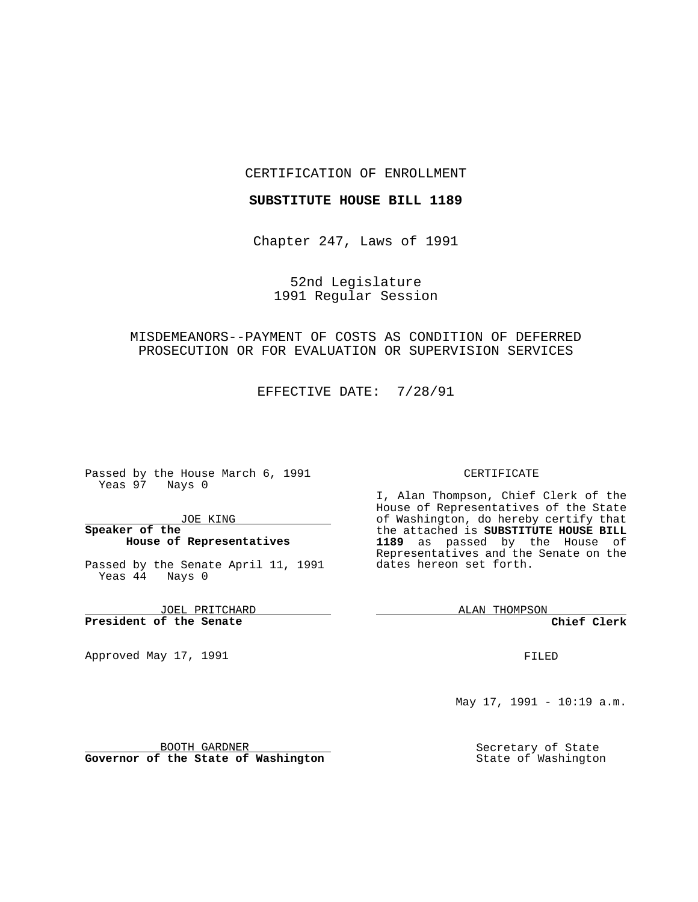### CERTIFICATION OF ENROLLMENT

### **SUBSTITUTE HOUSE BILL 1189**

Chapter 247, Laws of 1991

52nd Legislature 1991 Regular Session

# MISDEMEANORS--PAYMENT OF COSTS AS CONDITION OF DEFERRED PROSECUTION OR FOR EVALUATION OR SUPERVISION SERVICES

EFFECTIVE DATE: 7/28/91

Passed by the House March 6, 1991 Yeas 97 Nays 0

JOE KING

## **Speaker of the House of Representatives**

Passed by the Senate April 11, 1991 Yeas 44 Nays 0

JOEL PRITCHARD **President of the Senate**

Approved May 17, 1991

### CERTIFICATE

I, Alan Thompson, Chief Clerk of the House of Representatives of the State of Washington, do hereby certify that the attached is **SUBSTITUTE HOUSE BILL 1189** as passed by the House of Representatives and the Senate on the dates hereon set forth.

ALAN THOMPSON

**Chief Clerk**

FILED

May 17, 1991 - 10:19 a.m.

Secretary of State State of Washington

BOOTH GARDNER **Governor of the State of Washington**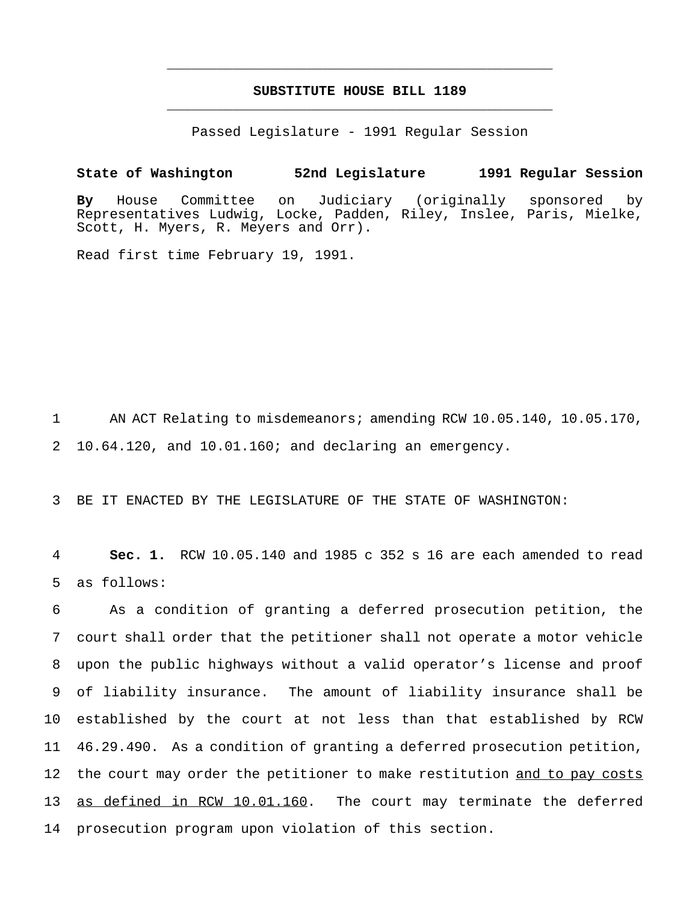# **SUBSTITUTE HOUSE BILL 1189** \_\_\_\_\_\_\_\_\_\_\_\_\_\_\_\_\_\_\_\_\_\_\_\_\_\_\_\_\_\_\_\_\_\_\_\_\_\_\_\_\_\_\_\_\_\_\_

\_\_\_\_\_\_\_\_\_\_\_\_\_\_\_\_\_\_\_\_\_\_\_\_\_\_\_\_\_\_\_\_\_\_\_\_\_\_\_\_\_\_\_\_\_\_\_

Passed Legislature - 1991 Regular Session

**State of Washington 52nd Legislature 1991 Regular Session By** House Committee on Judiciary (originally sponsored by Representatives Ludwig, Locke, Padden, Riley, Inslee, Paris, Mielke, Scott, H. Myers, R. Meyers and Orr).

Read first time February 19, 1991.

1 AN ACT Relating to misdemeanors; amending RCW 10.05.140, 10.05.170, 2 10.64.120, and 10.01.160; and declaring an emergency.

3 BE IT ENACTED BY THE LEGISLATURE OF THE STATE OF WASHINGTON:

4 **Sec. 1.** RCW 10.05.140 and 1985 c 352 s 16 are each amended to read 5 as follows:

 As a condition of granting a deferred prosecution petition, the court shall order that the petitioner shall not operate a motor vehicle upon the public highways without a valid operator's license and proof of liability insurance. The amount of liability insurance shall be established by the court at not less than that established by RCW 46.29.490. As a condition of granting a deferred prosecution petition, 12 the court may order the petitioner to make restitution and to pay costs 13 as defined in RCW 10.01.160. The court may terminate the deferred prosecution program upon violation of this section.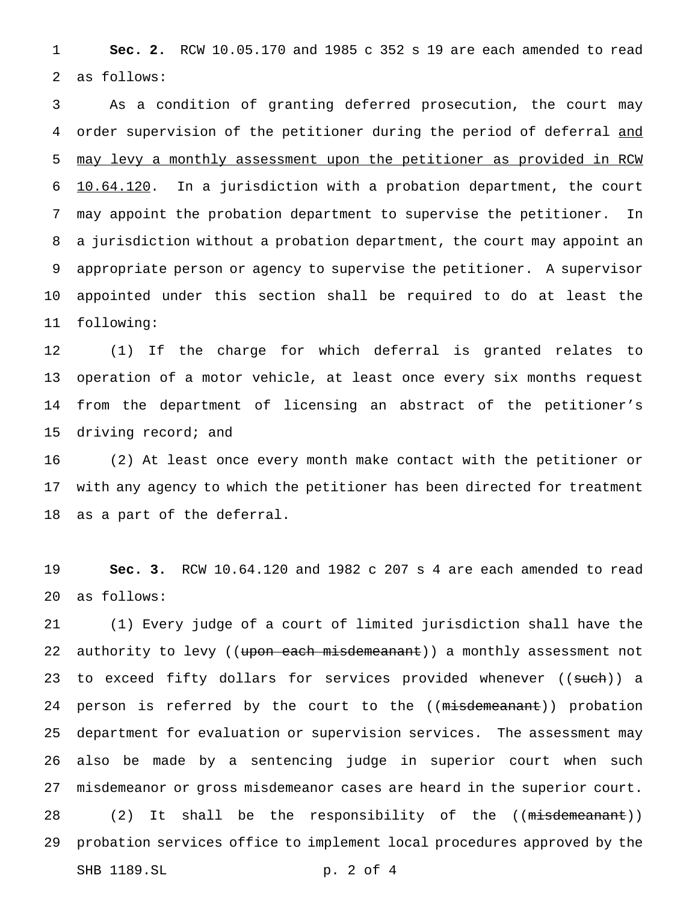**Sec. 2.** RCW 10.05.170 and 1985 c 352 s 19 are each amended to read as follows:

 As a condition of granting deferred prosecution, the court may 4 order supervision of the petitioner during the period of deferral and may levy a monthly assessment upon the petitioner as provided in RCW 10.64.120. In a jurisdiction with a probation department, the court may appoint the probation department to supervise the petitioner. In a jurisdiction without a probation department, the court may appoint an appropriate person or agency to supervise the petitioner. A supervisor appointed under this section shall be required to do at least the following:

 (1) If the charge for which deferral is granted relates to operation of a motor vehicle, at least once every six months request from the department of licensing an abstract of the petitioner's driving record; and

 (2) At least once every month make contact with the petitioner or with any agency to which the petitioner has been directed for treatment as a part of the deferral.

 **Sec. 3.** RCW 10.64.120 and 1982 c 207 s 4 are each amended to read as follows:

 (1) Every judge of a court of limited jurisdiction shall have the 22 authority to levy ((upon each misdemeanant)) a monthly assessment not 23 to exceed fifty dollars for services provided whenever ((such)) a 24 person is referred by the court to the ((misdemeanant)) probation department for evaluation or supervision services. The assessment may also be made by a sentencing judge in superior court when such misdemeanor or gross misdemeanor cases are heard in the superior court. 28 (2) It shall be the responsibility of the ((misdemeanant)) probation services office to implement local procedures approved by the SHB 1189.SL p. 2 of 4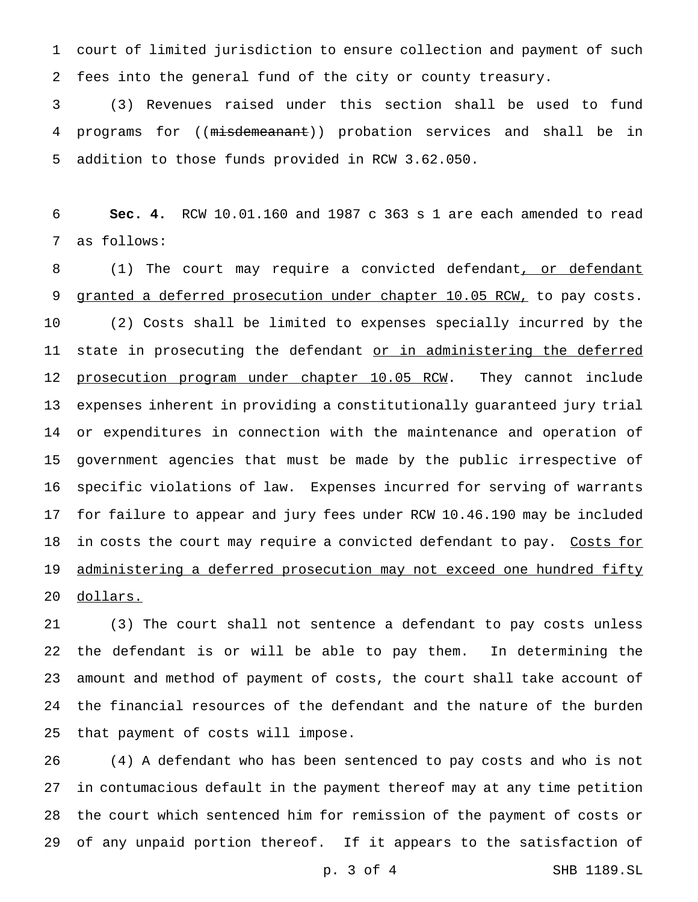court of limited jurisdiction to ensure collection and payment of such fees into the general fund of the city or county treasury.

 (3) Revenues raised under this section shall be used to fund programs for ((misdemeanant)) probation services and shall be in addition to those funds provided in RCW 3.62.050.

 **Sec. 4.** RCW 10.01.160 and 1987 c 363 s 1 are each amended to read as follows:

8 (1) The court may require a convicted defendant, or defendant 9 granted a deferred prosecution under chapter 10.05 RCW, to pay costs. (2) Costs shall be limited to expenses specially incurred by the 11 state in prosecuting the defendant or in administering the deferred 12 prosecution program under chapter 10.05 RCW. They cannot include expenses inherent in providing a constitutionally guaranteed jury trial or expenditures in connection with the maintenance and operation of government agencies that must be made by the public irrespective of specific violations of law. Expenses incurred for serving of warrants for failure to appear and jury fees under RCW 10.46.190 may be included 18 in costs the court may require a convicted defendant to pay. Costs for 19 administering a deferred prosecution may not exceed one hundred fifty dollars.

 (3) The court shall not sentence a defendant to pay costs unless the defendant is or will be able to pay them. In determining the amount and method of payment of costs, the court shall take account of the financial resources of the defendant and the nature of the burden that payment of costs will impose.

 (4) A defendant who has been sentenced to pay costs and who is not in contumacious default in the payment thereof may at any time petition the court which sentenced him for remission of the payment of costs or of any unpaid portion thereof. If it appears to the satisfaction of

p. 3 of 4 SHB 1189.SL